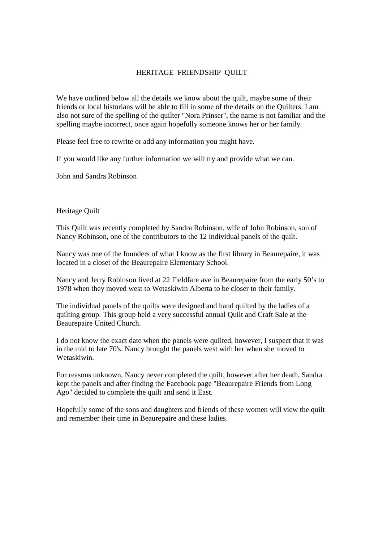## HERITAGE FRIENDSHIP QUILT

We have outlined below all the details we know about the quilt, maybe some of their friends or local historians will be able to fill in some of the details on the Quilters. I am also not sure of the spelling of the quilter "Nora Prinser", the name is not familiar and the spelling maybe incorrect, once again hopefully someone knows her or her family.

Please feel free to rewrite or add any information you might have.

If you would like any further information we will try and provide what we can.

John and Sandra Robinson

Heritage Quilt

This Quilt was recently completed by Sandra Robinson, wife of John Robinson, son of Nancy Robinson, one of the contributors to the 12 individual panels of the quilt.

Nancy was one of the founders of what I know as the first library in Beaurepaire, it was located in a closet of the Beaurepaire Elementary School.

Nancy and Jerry Robinson lived at 22 Fieldfare ave in Beaurepaire from the early 50's to 1978 when they moved west to Wetaskiwin Alberta to be closer to their family.

The individual panels of the quilts were designed and hand quilted by the ladies of a quilting group. This group held a very successful annual Quilt and Craft Sale at the Beaurepaire United Church.

I do not know the exact date when the panels were quilted, however, I suspect that it was in the mid to late 70's. Nancy brought the panels west with her when she moved to Wetaskiwin.

For reasons unknown, Nancy never completed the quilt, however after her death, Sandra kept the panels and after finding the Facebook page "Beaurepaire Friends from Long Ago" decided to complete the quilt and send it East.

Hopefully some of the sons and daughters and friends of these women will view the quilt and remember their time in Beaurepaire and these ladies.